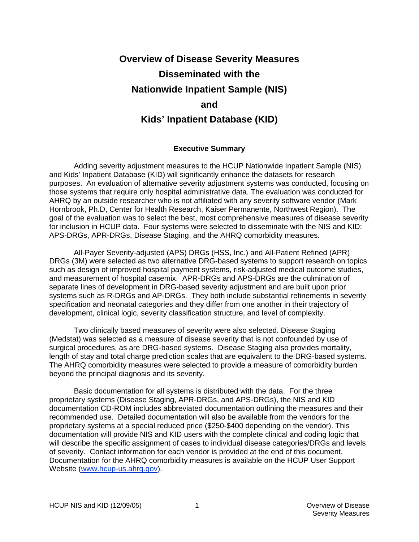# **Overview of Disease Severity Measures Disseminated with the Nationwide Inpatient Sample (NIS) and Kids' Inpatient Database (KID)**

#### **Executive Summary**

Adding severity adjustment measures to the HCUP Nationwide Inpatient Sample (NIS) and Kids' Inpatient Database (KID) will significantly enhance the datasets for research purposes. An evaluation of alternative severity adjustment systems was conducted, focusing on those systems that require only hospital administrative data. The evaluation was conducted for AHRQ by an outside researcher who is not affiliated with any severity software vendor (Mark Hornbrook, Ph.D, Center for Health Research, Kaiser Permanente, Northwest Region). The goal of the evaluation was to select the best, most comprehensive measures of disease severity for inclusion in HCUP data. Four systems were selected to disseminate with the NIS and KID: APS-DRGs, APR-DRGs, Disease Staging, and the AHRQ comorbidity measures.

All-Payer Severity-adjusted (APS) DRGs (HSS, Inc.) and All-Patient Refined (APR) DRGs (3M) were selected as two alternative DRG-based systems to support research on topics such as design of improved hospital payment systems, risk-adjusted medical outcome studies, and measurement of hospital casemix. APR-DRGs and APS-DRGs are the culmination of separate lines of development in DRG-based severity adjustment and are built upon prior systems such as R-DRGs and AP-DRGs. They both include substantial refinements in severity specification and neonatal categories and they differ from one another in their trajectory of development, clinical logic, severity classification structure, and level of complexity.

Two clinically based measures of severity were also selected. Disease Staging (Medstat) was selected as a measure of disease severity that is not confounded by use of surgical procedures, as are DRG-based systems. Disease Staging also provides mortality, length of stay and total charge prediction scales that are equivalent to the DRG-based systems. The AHRQ comorbidity measures were selected to provide a measure of comorbidity burden beyond the principal diagnosis and its severity.

 Basic documentation for all systems is distributed with the data. For the three proprietary systems (Disease Staging, APR-DRGs, and APS-DRGs), the NIS and KID documentation CD-ROM includes abbreviated documentation outlining the measures and their recommended use. Detailed documentation will also be available from the vendors for the proprietary systems at a special reduced price (\$250-\$400 depending on the vendor). This documentation will provide NIS and KID users with the complete clinical and coding logic that will describe the specific assignment of cases to individual disease categories/DRGs and levels of severity. Contact information for each vendor is provided at the end of this document. Documentation for the AHRQ comorbidity measures is available on the HCUP User Support Website [\(www.hcup-us.ahrq.gov](http://www.hcup-us.ahrq.gov/)).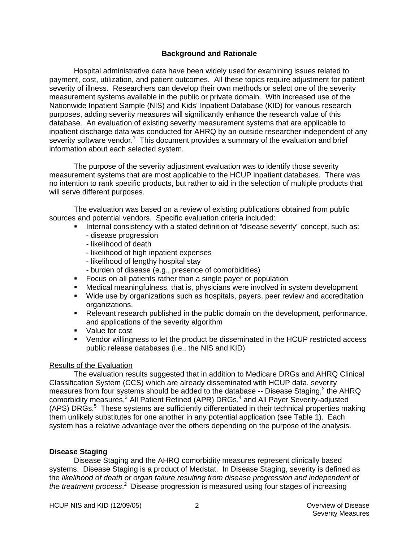#### **Background and Rationale**

 Hospital administrative data have been widely used for examining issues related to payment, cost, utilization, and patient outcomes. All these topics require adjustment for patient severity of illness. Researchers can develop their own methods or select one of the severity measurement systems available in the public or private domain. With increased use of the Nationwide Inpatient Sample (NIS) and Kids' Inpatient Database (KID) for various research purposes, adding severity measures will significantly enhance the research value of this database. An evaluation of existing severity measurement systems that are applicable to inpatient discharge data was conducted for AHRQ by an outside researcher independent of any severity software vendor.<sup>1</sup> This document provides a summary of the evaluation and brief information about each selected system.

 The purpose of the severity adjustment evaluation was to identify those severity measurement systems that are most applicable to the HCUP inpatient databases. There was no intention to rank specific products, but rather to aid in the selection of multiple products that will serve different purposes.

The evaluation was based on a review of existing publications obtained from public sources and potential vendors. Specific evaluation criteria included:

- Internal consistency with a stated definition of "disease severity" concept, such as:
	- disease progression
	- likelihood of death
	- likelihood of high inpatient expenses
	- likelihood of lengthy hospital stay
	- burden of disease (e.g., presence of comorbidities)
- **Focus on all patients rather than a single payer or population**
- Medical meaningfulness, that is, physicians were involved in system development
- Wide use by organizations such as hospitals, payers, peer review and accreditation organizations.
- **Relevant research published in the public domain on the development, performance,** and applications of the severity algorithm
- **Value for cost**
- Vendor willingness to let the product be disseminated in the HCUP restricted access public release databases (i.e., the NIS and KID)

#### Results of the Evaluation

The evaluation results suggested that in addition to Medicare DRGs and AHRQ Clinical Classification System (CCS) which are already disseminated with HCUP data, severity measures from four systems should be added to the database -- Disease Staging,<sup>2</sup> the AHRQ comorbidity measures,<sup>3</sup> All Patient Refined (APR) DRGs,<sup>4</sup> and All Payer Severity-adjusted (APS) DRGs.<sup>5</sup> These systems are sufficiently differentiated in their technical properties making them unlikely substitutes for one another in any potential application (see Table 1). Each system has a relative advantage over the others depending on the purpose of the analysis.

### **Disease Staging**

Disease Staging and the AHRQ comorbidity measures represent clinically based systems. Disease Staging is a product of Medstat. In Disease Staging, severity is defined as the *likelihood of death or organ failure resulting from disease progression and independent of*  the treatment process.<sup>2</sup> Disease progression is measured using four stages of increasing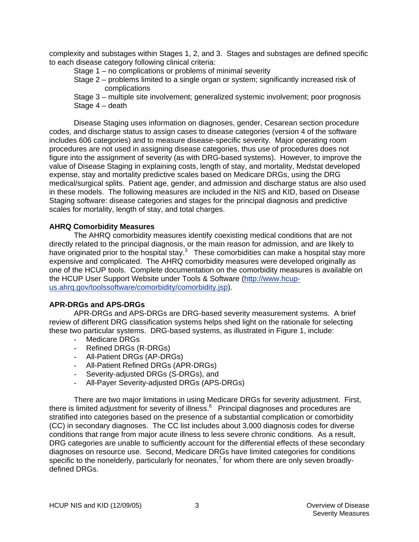complexity and substages within Stages 1, 2, and 3. Stages and substages are defined specific to each disease category following clinical criteria:

Stage 1 – no complications or problems of minimal severity

Stage 2 – problems limited to a single organ or system; significantly increased risk of complications

Stage 3 – multiple site involvement; generalized systemic involvement; poor prognosis Stage 4 – death

Disease Staging uses information on diagnoses, gender, Cesarean section procedure codes, and discharge status to assign cases to disease categories (version 4 of the software includes 606 categories) and to measure disease-specific severity. Major operating room procedures are not used in assigning disease categories, thus use of procedures does not figure into the assignment of severity (as with DRG-based systems). However, to improve the value of Disease Staging in explaining costs, length of stay, and mortality, Medstat developed expense, stay and mortality predictive scales based on Medicare DRGs, using the DRG medical/surgical splits. Patient age, gender, and admission and discharge status are also used in these models. The following measures are included in the NIS and KID, based on Disease Staging software: disease categories and stages for the principal diagnosis and predictive scales for mortality, length of stay, and total charges.

#### **AHRQ Comorbidity Measures**

The AHRQ comorbidity measures identify coexisting medical conditions that are not directly related to the principal diagnosis, or the main reason for admission, and are likely to have originated prior to the hospital stay. $3$  These comorbidities can make a hospital stay more expensive and complicated. The AHRQ comorbidity measures were developed originally as one of the HCUP tools. Complete documentation on the comorbidity measures is available on the HCUP User Support Website under Tools & Software ([http://www.hcup](http://www.hcup-us.ahrq.gov/toolssoftware/comorbidity/comorbidity.jsp)[us.ahrq.gov/toolssoftware/comorbidity/comorbidity.jsp](http://www.hcup-us.ahrq.gov/toolssoftware/comorbidity/comorbidity.jsp)).

### **APR-DRGs and APS-DRGs**

 APR-DRGs and APS-DRGs are DRG-based severity measurement systems. A brief review of different DRG classification systems helps shed light on the rationale for selecting these two particular systems. DRG-based systems, as illustrated in Figure 1, include:

- Medicare DRGs
- Refined DRGs (R-DRGs)
- All-Patient DRGs (AP-DRGs)
- All-Patient Refined DRGs (APR-DRGs)
- Severity-adjusted DRGs (S-DRGs), and
- All-Payer Severity-adjusted DRGs (APS-DRGs)

There are two major limitations in using Medicare DRGs for severity adjustment. First, there is limited adjustment for severity of illness. $6$  Principal diagnoses and procedures are stratified into categories based on the presence of a substantial complication or comorbidity (CC) in secondary diagnoses. The CC list includes about 3,000 diagnosis codes for diverse conditions that range from major acute illness to less severe chronic conditions. As a result, DRG categories are unable to sufficiently account for the differential effects of these secondary diagnoses on resource use. Second, Medicare DRGs have limited categories for conditions specific to the nonelderly, particularly for neonates,<sup>7</sup> for whom there are only seven broadlydefined DRGs.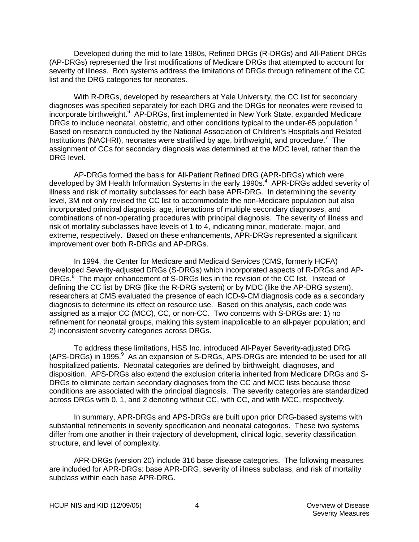Developed during the mid to late 1980s, Refined DRGs (R-DRGs) and All-Patient DRGs (AP-DRGs) represented the first modifications of Medicare DRGs that attempted to account for severity of illness. Both systems address the limitations of DRGs through refinement of the CC list and the DRG categories for neonates.

With R-DRGs, developed by researchers at Yale University, the CC list for secondary diagnoses was specified separately for each DRG and the DRGs for neonates were revised to incorporate birthweight.<sup>6</sup> AP-DRGs, first implemented in New York State, expanded Medicare DRGs to include neonatal, obstetric, and other conditions typical to the under-65 population.<sup>4</sup> Based on research conducted by the National Association of Children's Hospitals and Related Institutions (NACHRI), neonates were stratified by age, birthweight, and procedure.<sup>7</sup> The assignment of CCs for secondary diagnosis was determined at the MDC level, rather than the DRG level.

AP-DRGs formed the basis for All-Patient Refined DRG (APR-DRGs) which were developed by 3M Health Information Systems in the early 1990s.<sup>4</sup> APR-DRGs added severity of illness and risk of mortality subclasses for each base APR-DRG. In determining the severity level, 3M not only revised the CC list to accommodate the non-Medicare population but also incorporated principal diagnosis, age, interactions of multiple secondary diagnoses, and combinations of non-operating procedures with principal diagnosis. The severity of illness and risk of mortality subclasses have levels of 1 to 4, indicating minor, moderate, major, and extreme, respectively. Based on these enhancements, APR-DRGs represented a significant improvement over both R-DRGs and AP-DRGs.

In 1994, the Center for Medicare and Medicaid Services (CMS, formerly HCFA) developed Severity-adjusted DRGs (S-DRGs) which incorporated aspects of R-DRGs and AP-DRGs.<sup>8</sup> The major enhancement of S-DRGs lies in the revision of the CC list. Instead of defining the CC list by DRG (like the R-DRG system) or by MDC (like the AP-DRG system), researchers at CMS evaluated the presence of each ICD-9-CM diagnosis code as a secondary diagnosis to determine its effect on resource use. Based on this analysis, each code was assigned as a major CC (MCC), CC, or non-CC. Two concerns with S-DRGs are: 1) no refinement for neonatal groups, making this system inapplicable to an all-payer population; and 2) inconsistent severity categories across DRGs.

 To address these limitations, HSS Inc. introduced All-Payer Severity-adjusted DRG (APS-DRGs) in 1995.<sup>9</sup> As an expansion of S-DRGs, APS-DRGs are intended to be used for all hospitalized patients. Neonatal categories are defined by birthweight, diagnoses, and disposition. APS-DRGs also extend the exclusion criteria inherited from Medicare DRGs and S-DRGs to eliminate certain secondary diagnoses from the CC and MCC lists because those conditions are associated with the principal diagnosis. The severity categories are standardized across DRGs with 0, 1, and 2 denoting without CC, with CC, and with MCC, respectively.

 In summary, APR-DRGs and APS-DRGs are built upon prior DRG-based systems with substantial refinements in severity specification and neonatal categories. These two systems differ from one another in their trajectory of development, clinical logic, severity classification structure, and level of complexity.

 APR-DRGs (version 20) include 316 base disease categories. The following measures are included for APR-DRGs: base APR-DRG, severity of illness subclass, and risk of mortality subclass within each base APR-DRG.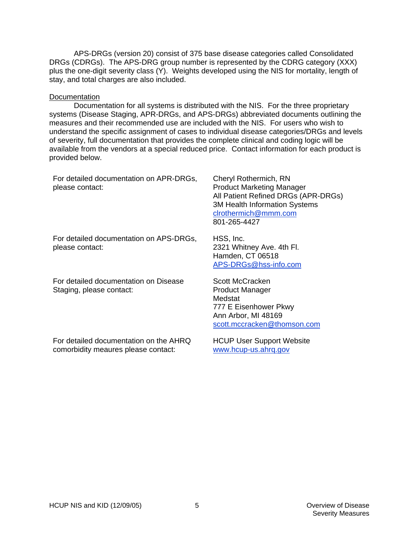APS-DRGs (version 20) consist of 375 base disease categories called Consolidated DRGs (CDRGs). The APS-DRG group number is represented by the CDRG category (XXX) plus the one-digit severity class (Y). Weights developed using the NIS for mortality, length of stay, and total charges are also included.

#### **Documentation**

 Documentation for all systems is distributed with the NIS. For the three proprietary systems (Disease Staging, APR-DRGs, and APS-DRGs) abbreviated documents outlining the measures and their recommended use are included with the NIS. For users who wish to understand the specific assignment of cases to individual disease categories/DRGs and levels of severity, full documentation that provides the complete clinical and coding logic will be available from the vendors at a special reduced price. Contact information for each product is provided below.

| For detailed documentation on APR-DRGs,<br>please contact:        | Cheryl Rothermich, RN<br><b>Product Marketing Manager</b><br>All Patient Refined DRGs (APR-DRGs)<br><b>3M Health Information Systems</b><br>clrothermich@mmm.com<br>801-265-4427 |
|-------------------------------------------------------------------|----------------------------------------------------------------------------------------------------------------------------------------------------------------------------------|
| For detailed documentation on APS-DRGs,<br>please contact:        | HSS, Inc.<br>2321 Whitney Ave. 4th Fl.<br>Hamden, CT 06518<br>APS-DRGs@hss-info.com                                                                                              |
| For detailed documentation on Disease<br>Staging, please contact: | Scott McCracken<br><b>Product Manager</b><br>Medstat<br>777 E Eisenhower Pkwy<br>Ann Arbor, MI 48169<br>scott.mccracken@thomson.com                                              |
|                                                                   |                                                                                                                                                                                  |

For detailed documentation on the AHRQ comorbidity meaures please contact:

HCUP User Support Website [www.hcup-us.ahrq.gov](http://www.hcup-us.ahrq.gov/)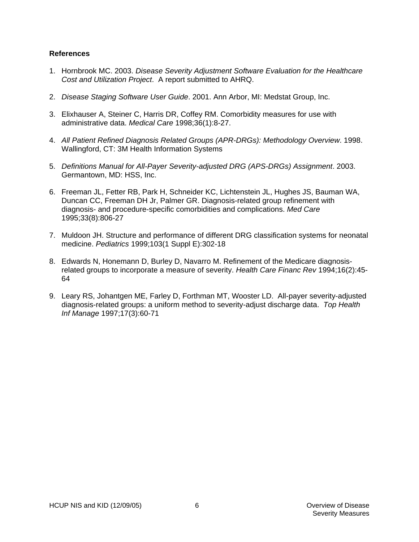#### **References**

- 1. Hornbrook MC. 2003. *Disease Severity Adjustment Software Evaluation for the Healthcare Cost and Utilization Project*. A report submitted to AHRQ.
- 2. *Disease Staging Software User Guide*. 2001. Ann Arbor, MI: Medstat Group, Inc.
- 3. Elixhauser A, Steiner C, Harris DR, Coffey RM. Comorbidity measures for use with administrative data. *Medical Care* 1998;36(1):8-27.
- 4. *All Patient Refined Diagnosis Related Groups (APR-DRGs): Methodology Overview*. 1998. Wallingford, CT: 3M Health Information Systems
- 5. *Definitions Manual for All-Payer Severity-adjusted DRG (APS-DRGs) Assignment*. 2003. Germantown, MD: HSS, Inc.
- 6. Freeman JL, Fetter RB, Park H, Schneider KC, Lichtenstein JL, Hughes JS, Bauman WA, Duncan CC, Freeman DH Jr, Palmer GR. Diagnosis-related group refinement with diagnosis- and procedure-specific comorbidities and complications. *Med Care* 1995;33(8):806-27
- 7. Muldoon JH. Structure and performance of different DRG classification systems for neonatal medicine. *Pediatrics* 1999;103(1 Suppl E):302-18
- 8. Edwards N, Honemann D, Burley D, Navarro M. Refinement of the Medicare diagnosisrelated groups to incorporate a measure of severity. *Health Care Financ Rev* 1994;16(2):45- 64
- 9. Leary RS, Johantgen ME, Farley D, Forthman MT, Wooster LD. All-payer severity-adjusted diagnosis-related groups: a uniform method to severity-adjust discharge data. *Top Health Inf Manage* 1997;17(3):60-71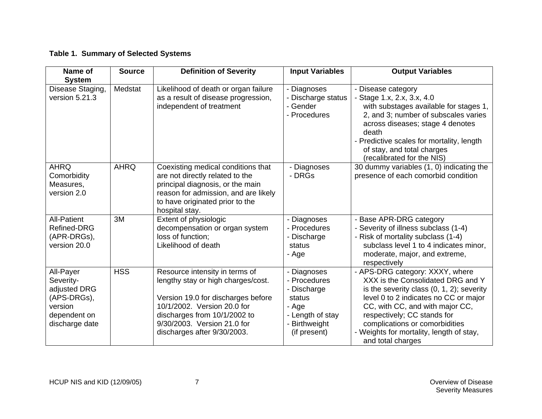## **Table 1. Summary of Selected Systems**

| Name of<br><b>System</b>                                                                           | <b>Source</b> | <b>Definition of Severity</b>                                                                                                                                                                                                           | <b>Input Variables</b>                                                                                             | <b>Output Variables</b>                                                                                                                                                                                                                                                                                                            |
|----------------------------------------------------------------------------------------------------|---------------|-----------------------------------------------------------------------------------------------------------------------------------------------------------------------------------------------------------------------------------------|--------------------------------------------------------------------------------------------------------------------|------------------------------------------------------------------------------------------------------------------------------------------------------------------------------------------------------------------------------------------------------------------------------------------------------------------------------------|
| Disease Staging,<br>version 5.21.3                                                                 | Medstat       | Likelihood of death or organ failure<br>as a result of disease progression,<br>independent of treatment                                                                                                                                 | - Diagnoses<br>- Discharge status<br>- Gender<br>- Procedures                                                      | - Disease category<br>- Stage 1.x, 2.x, 3.x, 4.0<br>with substages available for stages 1,<br>2, and 3; number of subscales varies<br>across diseases; stage 4 denotes<br>death<br>- Predictive scales for mortality, length<br>of stay, and total charges<br>(recalibrated for the NIS)                                           |
| <b>AHRQ</b><br>Comorbidity<br>Measures,<br>version 2.0                                             | <b>AHRQ</b>   | Coexisting medical conditions that<br>are not directly related to the<br>principal diagnosis, or the main<br>reason for admission, and are likely<br>to have originated prior to the<br>hospital stay.                                  | - Diagnoses<br>- DRGs                                                                                              | 30 dummy variables (1, 0) indicating the<br>presence of each comorbid condition                                                                                                                                                                                                                                                    |
| <b>All-Patient</b><br><b>Refined-DRG</b><br>(APR-DRGs),<br>version 20.0                            | 3M            | Extent of physiologic<br>decompensation or organ system<br>loss of function;<br>Likelihood of death                                                                                                                                     | - Diagnoses<br>- Procedures<br>- Discharge<br>status<br>- Age                                                      | - Base APR-DRG category<br>- Severity of illness subclass (1-4)<br>- Risk of mortality subclass (1-4)<br>subclass level 1 to 4 indicates minor,<br>moderate, major, and extreme,<br>respectively                                                                                                                                   |
| All-Payer<br>Severity-<br>adjusted DRG<br>(APS-DRGs),<br>version<br>dependent on<br>discharge date | <b>HSS</b>    | Resource intensity in terms of<br>lengthy stay or high charges/cost.<br>Version 19.0 for discharges before<br>10/1/2002. Version 20.0 for<br>discharges from 10/1/2002 to<br>9/30/2003. Version 21.0 for<br>discharges after 9/30/2003. | - Diagnoses<br>- Procedures<br>- Discharge<br>status<br>- Age<br>- Length of stay<br>- Birthweight<br>(if present) | - APS-DRG category: XXXY, where<br>XXX is the Consolidated DRG and Y<br>is the severity class $(0, 1, 2)$ ; severity<br>level 0 to 2 indicates no CC or major<br>CC, with CC, and with major CC,<br>respectively; CC stands for<br>complications or comorbidities<br>- Weights for mortality, length of stay,<br>and total charges |